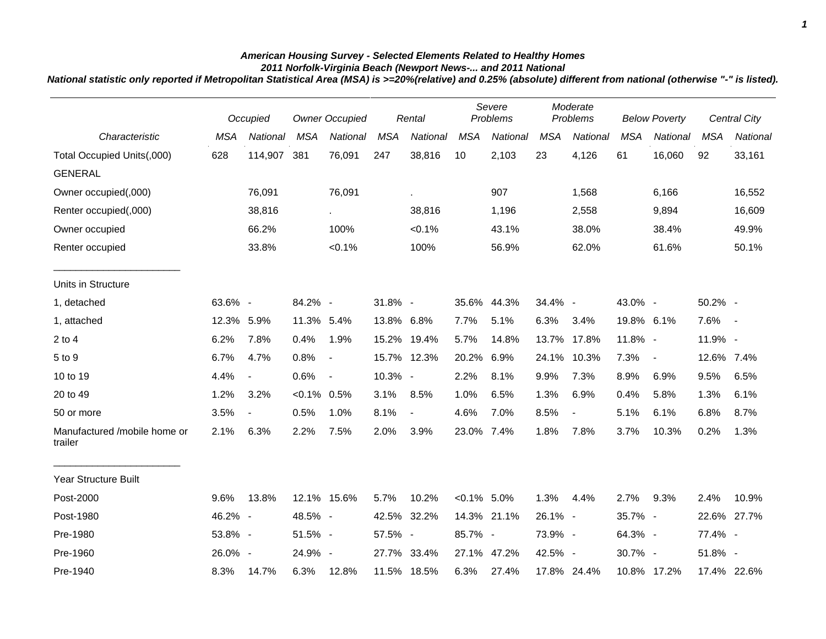## *American Housing Survey - Selected Elements Related to Healthy Homes 2011 Norfolk-Virginia Beach (Newport News-... and 2011 National*

*National statistic only reported if Metropolitan Statistical Area (MSA) is >=20%(relative) and 0.25% (absolute) different from national (otherwise "-" is listed).*

|                                         | Occupied   |                          | <b>Owner Occupied</b> |                |            | Rental      |                | Severe<br>Problems |            | Moderate<br>Problems |            | <b>Below Poverty</b> |            | Central City |
|-----------------------------------------|------------|--------------------------|-----------------------|----------------|------------|-------------|----------------|--------------------|------------|----------------------|------------|----------------------|------------|--------------|
| Characteristic                          | <b>MSA</b> | National                 | <b>MSA</b>            | National       | <b>MSA</b> | National    | <b>MSA</b>     | National           | <b>MSA</b> | National             | <b>MSA</b> | National             | <b>MSA</b> | National     |
| Total Occupied Units(,000)              | 628        | 114,907                  | 381                   | 76,091         | 247        | 38,816      | 10             | 2,103              | 23         | 4,126                | 61         | 16,060               | 92         | 33,161       |
| <b>GENERAL</b>                          |            |                          |                       |                |            |             |                |                    |            |                      |            |                      |            |              |
| Owner occupied(,000)                    |            | 76,091                   |                       | 76,091         |            | ×.          |                | 907                |            | 1,568                |            | 6,166                |            | 16,552       |
| Renter occupied(,000)                   |            | 38,816                   |                       | $\sim$         |            | 38,816      |                | 1,196              |            | 2,558                |            | 9,894                |            | 16,609       |
| Owner occupied                          |            | 66.2%                    |                       | 100%           |            | $< 0.1\%$   |                | 43.1%              |            | 38.0%                |            | 38.4%                |            | 49.9%        |
| Renter occupied                         |            | 33.8%                    |                       | $< 0.1\%$      |            | 100%        |                | 56.9%              |            | 62.0%                |            | 61.6%                |            | 50.1%        |
| Units in Structure                      |            |                          |                       |                |            |             |                |                    |            |                      |            |                      |            |              |
| 1, detached                             | 63.6% -    |                          | 84.2% -               |                | 31.8% -    |             |                | 35.6% 44.3%        | 34.4% -    |                      | 43.0% -    |                      | 50.2% -    |              |
| 1, attached                             | 12.3%      | 5.9%                     | 11.3% 5.4%            |                | 13.8% 6.8% |             | 7.7%           | 5.1%               | 6.3%       | 3.4%                 | 19.8% 6.1% |                      | 7.6%       | $\sim$       |
| $2$ to $4$                              | 6.2%       | 7.8%                     | 0.4%                  | 1.9%           |            | 15.2% 19.4% | 5.7%           | 14.8%              | 13.7%      | 17.8%                | 11.8% -    |                      | 11.9% -    |              |
| 5 to 9                                  | 6.7%       | 4.7%                     | 0.8%                  | $\blacksquare$ |            | 15.7% 12.3% | 20.2%          | 6.9%               | 24.1%      | 10.3%                | 7.3%       | $\blacksquare$       | 12.6% 7.4% |              |
| 10 to 19                                | 4.4%       | $\overline{\phantom{a}}$ | 0.6%                  | $\sim$         | 10.3% -    |             | 2.2%           | 8.1%               | 9.9%       | 7.3%                 | 8.9%       | 6.9%                 | 9.5%       | 6.5%         |
| 20 to 49                                | 1.2%       | 3.2%                     | $< 0.1\%$ 0.5%        |                | 3.1%       | 8.5%        | 1.0%           | 6.5%               | 1.3%       | 6.9%                 | 0.4%       | 5.8%                 | 1.3%       | 6.1%         |
| 50 or more                              | 3.5%       | $\overline{\phantom{a}}$ | 0.5%                  | 1.0%           | 8.1%       |             | 4.6%           | 7.0%               | 8.5%       | $\overline{a}$       | 5.1%       | 6.1%                 | 6.8%       | 8.7%         |
| Manufactured /mobile home or<br>trailer | 2.1%       | 6.3%                     | 2.2%                  | 7.5%           | 2.0%       | 3.9%        | 23.0%          | 7.4%               | 1.8%       | 7.8%                 | 3.7%       | 10.3%                | 0.2%       | 1.3%         |
| Year Structure Built                    |            |                          |                       |                |            |             |                |                    |            |                      |            |                      |            |              |
| Post-2000                               | 9.6%       | 13.8%                    |                       | 12.1% 15.6%    | 5.7%       | 10.2%       | $< 0.1\%$ 5.0% |                    | 1.3%       | 4.4%                 | 2.7%       | 9.3%                 | 2.4%       | 10.9%        |
| Post-1980                               | 46.2% -    |                          | 48.5% -               |                |            | 42.5% 32.2% |                | 14.3% 21.1%        | 26.1% -    |                      | 35.7% -    |                      |            | 22.6% 27.7%  |
| Pre-1980                                | 53.8% -    |                          | 51.5% -               |                | 57.5% -    |             | 85.7% -        |                    | 73.9% -    |                      | 64.3% -    |                      | 77.4% -    |              |
| Pre-1960                                | 26.0% -    |                          | 24.9% -               |                |            | 27.7% 33.4% |                | 27.1% 47.2%        | 42.5% -    |                      | 30.7% -    |                      | 51.8% -    |              |
| Pre-1940                                | 8.3%       | 14.7%                    | 6.3%                  | 12.8%          |            | 11.5% 18.5% | 6.3%           | 27.4%              |            | 17.8% 24.4%          |            | 10.8% 17.2%          |            | 17.4% 22.6%  |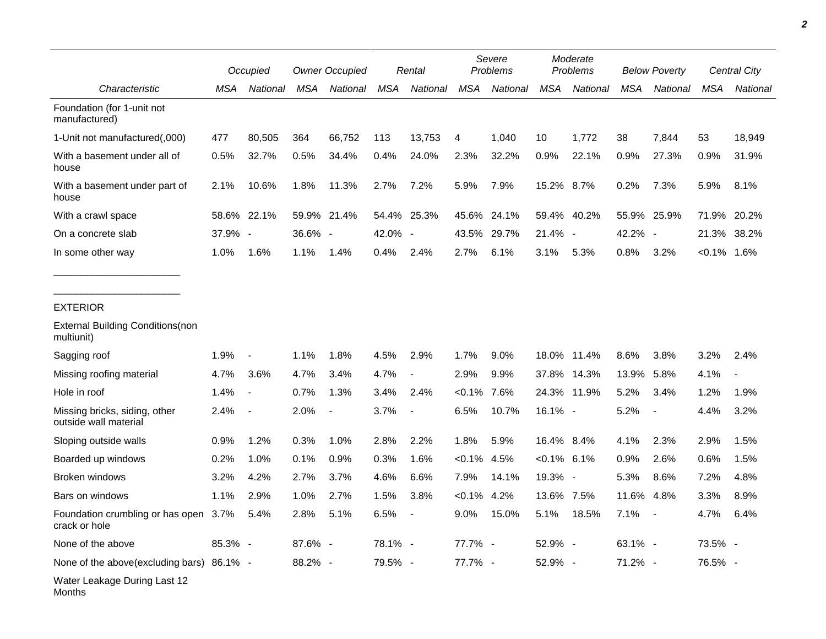|                                                        |         | Occupied                 |            | <b>Owner Occupied</b> |            | Rental         |            | Severe<br>Problems |                | Moderate<br>Problems     |            | <b>Below Poverty</b>     |                | Central City |  |
|--------------------------------------------------------|---------|--------------------------|------------|-----------------------|------------|----------------|------------|--------------------|----------------|--------------------------|------------|--------------------------|----------------|--------------|--|
| Characteristic                                         | MSA     | National                 | <b>MSA</b> | National              | <b>MSA</b> | National       | <b>MSA</b> | National           | <b>MSA</b>     | National                 | <b>MSA</b> | National                 | <b>MSA</b>     | National     |  |
| Foundation (for 1-unit not<br>manufactured)            |         |                          |            |                       |            |                |            |                    |                |                          |            |                          |                |              |  |
| 1-Unit not manufactured(,000)                          | 477     | 80,505                   | 364        | 66,752                | 113        | 13,753         | 4          | 1,040              | 10             | 1,772                    | 38         | 7,844                    | 53             | 18,949       |  |
| With a basement under all of<br>house                  | 0.5%    | 32.7%                    | 0.5%       | 34.4%                 | 0.4%       | 24.0%          | 2.3%       | 32.2%              | 0.9%           | 22.1%                    | 0.9%       | 27.3%                    | 0.9%           | 31.9%        |  |
| With a basement under part of<br>house                 | 2.1%    | 10.6%                    | 1.8%       | 11.3%                 | 2.7%       | 7.2%           | 5.9%       | 7.9%               | 15.2% 8.7%     |                          | 0.2%       | 7.3%                     | 5.9%           | 8.1%         |  |
| With a crawl space                                     |         | 58.6% 22.1%              |            | 59.9% 21.4%           | 54.4%      | 25.3%          | 45.6%      | 24.1%              | 59.4%          | 40.2%                    | 55.9%      | 25.9%                    | 71.9%          | 20.2%        |  |
| On a concrete slab                                     | 37.9% - |                          | 36.6% -    |                       | 42.0% -    |                | 43.5%      | 29.7%              | 21.4%          | $\overline{\phantom{a}}$ | 42.2% -    |                          | 21.3%          | 38.2%        |  |
| In some other way                                      | 1.0%    | 1.6%                     | 1.1%       | 1.4%                  | 0.4%       | 2.4%           | 2.7%       | 6.1%               | 3.1%           | 5.3%                     | 0.8%       | 3.2%                     | $< 0.1\%$ 1.6% |              |  |
| <b>EXTERIOR</b>                                        |         |                          |            |                       |            |                |            |                    |                |                          |            |                          |                |              |  |
| <b>External Building Conditions (non</b><br>multiunit) |         |                          |            |                       |            |                |            |                    |                |                          |            |                          |                |              |  |
| Sagging roof                                           | 1.9%    | $\overline{\phantom{a}}$ | 1.1%       | 1.8%                  | 4.5%       | 2.9%           | 1.7%       | 9.0%               | 18.0%          | 11.4%                    | 8.6%       | 3.8%                     | 3.2%           | 2.4%         |  |
| Missing roofing material                               | 4.7%    | 3.6%                     | 4.7%       | 3.4%                  | 4.7%       | $\blacksquare$ | 2.9%       | 9.9%               | 37.8%          | 14.3%                    | 13.9%      | 5.8%                     | 4.1%           |              |  |
| Hole in roof                                           | 1.4%    | $\overline{\phantom{a}}$ | 0.7%       | 1.3%                  | 3.4%       | 2.4%           | $< 0.1\%$  | 7.6%               |                | 24.3% 11.9%              | 5.2%       | 3.4%                     | 1.2%           | 1.9%         |  |
| Missing bricks, siding, other<br>outside wall material | 2.4%    | $\blacksquare$           | 2.0%       |                       | 3.7%       | $\blacksquare$ | 6.5%       | 10.7%              | 16.1% -        |                          | 5.2%       | $\overline{\phantom{a}}$ | 4.4%           | 3.2%         |  |
| Sloping outside walls                                  | 0.9%    | 1.2%                     | 0.3%       | 1.0%                  | 2.8%       | 2.2%           | 1.8%       | 5.9%               | 16.4% 8.4%     |                          | 4.1%       | 2.3%                     | 2.9%           | 1.5%         |  |
| Boarded up windows                                     | 0.2%    | 1.0%                     | 0.1%       | 0.9%                  | 0.3%       | 1.6%           | $< 0.1\%$  | 4.5%               | $< 0.1\%$ 6.1% |                          | 0.9%       | 2.6%                     | 0.6%           | 1.5%         |  |
| Broken windows                                         | 3.2%    | 4.2%                     | 2.7%       | 3.7%                  | 4.6%       | 6.6%           | 7.9%       | 14.1%              | 19.3% -        |                          | 5.3%       | 8.6%                     | 7.2%           | 4.8%         |  |
| Bars on windows                                        | 1.1%    | 2.9%                     | 1.0%       | 2.7%                  | 1.5%       | 3.8%           | $< 0.1\%$  | 4.2%               | 13.6%          | 7.5%                     | 11.6%      | 4.8%                     | 3.3%           | 8.9%         |  |
| Foundation crumbling or has open 3.7%<br>crack or hole |         | 5.4%                     | 2.8%       | 5.1%                  | 6.5%       |                | 9.0%       | 15.0%              | 5.1%           | 18.5%                    | 7.1%       | $\overline{\phantom{a}}$ | 4.7%           | 6.4%         |  |
| None of the above                                      | 85.3% - |                          | 87.6% -    |                       | 78.1% -    |                | 77.7% -    |                    | 52.9% -        |                          | 63.1% -    |                          | 73.5% -        |              |  |
| None of the above(excluding bars) 86.1% -              |         |                          | 88.2% -    |                       | 79.5% -    |                | 77.7% -    |                    | 52.9% -        |                          | 71.2% -    |                          | 76.5% -        |              |  |
| Water Leakage During Last 12<br>Months                 |         |                          |            |                       |            |                |            |                    |                |                          |            |                          |                |              |  |

*2*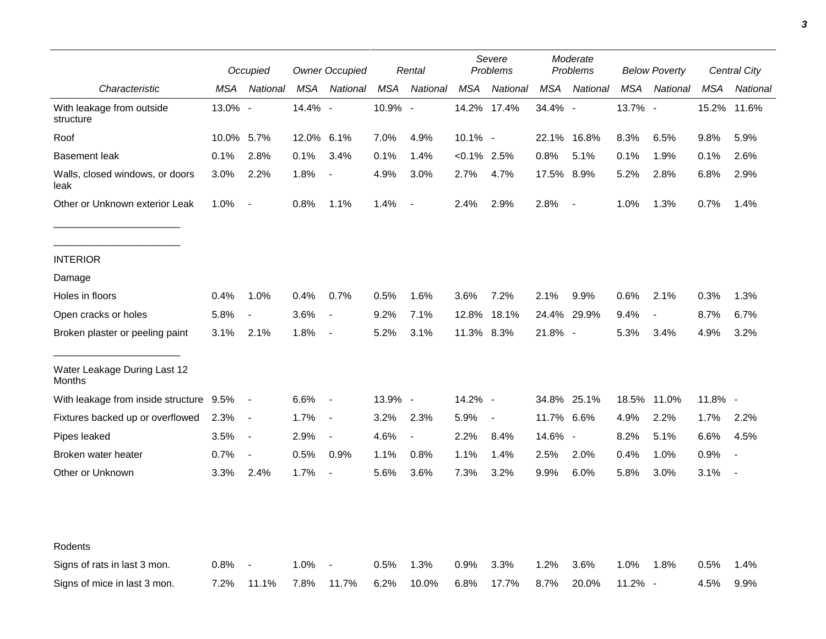|                                         |            | Occupied                 |         | <b>Owner Occupied</b>    |         | Rental                   | Severe<br>Problems |                          | Moderate<br>Problems |                          | <b>Below Poverty</b> |                | Central City |                          |
|-----------------------------------------|------------|--------------------------|---------|--------------------------|---------|--------------------------|--------------------|--------------------------|----------------------|--------------------------|----------------------|----------------|--------------|--------------------------|
| Characteristic                          | MSA        | National                 | MSA     | National                 | MSA     | National                 | <b>MSA</b>         | National                 | MSA                  | National                 | MSA                  | National       | MSA          | National                 |
| With leakage from outside<br>structure  | 13.0% -    |                          | 14.4% - |                          | 10.9% - |                          |                    | 14.2% 17.4%              | 34.4% -              |                          | 13.7% -              |                | 15.2%        | 11.6%                    |
| Roof                                    | 10.0% 5.7% |                          | 12.0%   | 6.1%                     | 7.0%    | 4.9%                     | 10.1% -            |                          |                      | 22.1% 16.8%              | 8.3%                 | 6.5%           | 9.8%         | 5.9%                     |
| <b>Basement leak</b>                    | 0.1%       | 2.8%                     | 0.1%    | 3.4%                     | 0.1%    | 1.4%                     | $< 0.1\%$ 2.5%     |                          | 0.8%                 | 5.1%                     | 0.1%                 | 1.9%           | 0.1%         | 2.6%                     |
| Walls, closed windows, or doors<br>leak | 3.0%       | 2.2%                     | 1.8%    |                          | 4.9%    | 3.0%                     | 2.7%               | 4.7%                     | 17.5% 8.9%           |                          | 5.2%                 | 2.8%           | 6.8%         | 2.9%                     |
| Other or Unknown exterior Leak          | 1.0%       | $\overline{\phantom{a}}$ | 0.8%    | 1.1%                     | 1.4%    | $\blacksquare$           | 2.4%               | 2.9%                     | 2.8%                 | $\overline{\phantom{a}}$ | 1.0%                 | 1.3%           | 0.7%         | 1.4%                     |
| <b>INTERIOR</b>                         |            |                          |         |                          |         |                          |                    |                          |                      |                          |                      |                |              |                          |
| Damage                                  |            |                          |         |                          |         |                          |                    |                          |                      |                          |                      |                |              |                          |
| Holes in floors                         | 0.4%       | 1.0%                     | 0.4%    | 0.7%                     | 0.5%    | 1.6%                     | 3.6%               | 7.2%                     | 2.1%                 | 9.9%                     | 0.6%                 | 2.1%           | 0.3%         | 1.3%                     |
| Open cracks or holes                    | 5.8%       | $\overline{\phantom{a}}$ | 3.6%    | $\overline{\phantom{a}}$ | 9.2%    | 7.1%                     | 12.8%              | 18.1%                    | 24.4%                | 29.9%                    | 9.4%                 | $\blacksquare$ | 8.7%         | 6.7%                     |
| Broken plaster or peeling paint         | 3.1%       | 2.1%                     | 1.8%    | $\overline{\phantom{a}}$ | 5.2%    | 3.1%                     | 11.3% 8.3%         |                          | $21.8\%$ -           |                          | 5.3%                 | 3.4%           | 4.9%         | 3.2%                     |
| Water Leakage During Last 12<br>Months  |            |                          |         |                          |         |                          |                    |                          |                      |                          |                      |                |              |                          |
| With leakage from inside structure 9.5% |            | $\overline{\phantom{a}}$ | 6.6%    | $\overline{\phantom{a}}$ | 13.9% - |                          | 14.2% -            |                          |                      | 34.8% 25.1%              |                      | 18.5% 11.0%    | 11.8% -      |                          |
| Fixtures backed up or overflowed        | 2.3%       | $\overline{\phantom{a}}$ | 1.7%    | $\blacksquare$           | 3.2%    | 2.3%                     | 5.9%               | $\overline{\phantom{a}}$ | 11.7%                | 6.6%                     | 4.9%                 | 2.2%           | 1.7%         | 2.2%                     |
| Pipes leaked                            | 3.5%       | $\overline{\phantom{a}}$ | 2.9%    | $\overline{\phantom{a}}$ | 4.6%    | $\overline{\phantom{a}}$ | 2.2%               | 8.4%                     | 14.6% -              |                          | 8.2%                 | 5.1%           | 6.6%         | 4.5%                     |
| Broken water heater                     | 0.7%       | $\overline{\phantom{a}}$ | 0.5%    | 0.9%                     | 1.1%    | 0.8%                     | 1.1%               | 1.4%                     | 2.5%                 | 2.0%                     | 0.4%                 | 1.0%           | 0.9%         |                          |
| Other or Unknown                        | 3.3%       | 2.4%                     | 1.7%    | $\overline{\phantom{a}}$ | 5.6%    | 3.6%                     | 7.3%               | 3.2%                     | 9.9%                 | 6.0%                     | 5.8%                 | 3.0%           | 3.1%         | $\overline{\phantom{a}}$ |
|                                         |            |                          |         |                          |         |                          |                    |                          |                      |                          |                      |                |              |                          |
| Rodents                                 |            |                          |         |                          |         |                          |                    |                          |                      |                          |                      |                |              |                          |
| Signs of rats in last 3 mon.            | 0.8%       |                          | 1.0%    |                          | 0.5%    | 1.3%                     | 0.9%               | 3.3%                     | 1.2%                 | 3.6%                     | 1.0%                 | 1.8%           | 0.5%         | 1.4%                     |
| Signs of mice in last 3 mon.            | 7.2%       | 11.1%                    | 7.8%    | 11.7%                    | 6.2%    | 10.0%                    | 6.8%               | 17.7%                    | 8.7%                 | 20.0%                    | 11.2% -              |                | 4.5%         | 9.9%                     |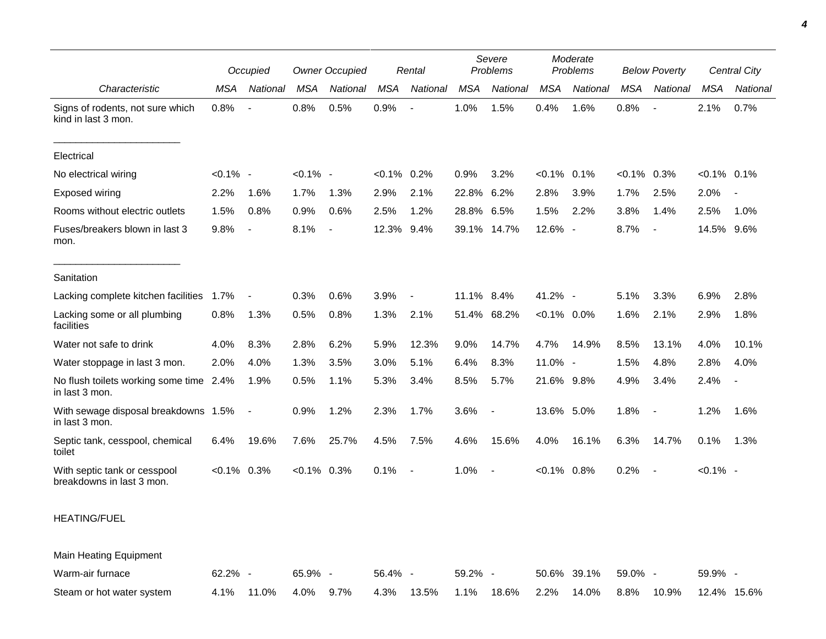|                                                           |                | Occupied                 |                | <b>Owner Occupied</b>    |                | Rental                   |            | Severe<br>Problems |                | Moderate<br><b>Problems</b> | <b>Below Poverty</b> |                          |                | Central City   |
|-----------------------------------------------------------|----------------|--------------------------|----------------|--------------------------|----------------|--------------------------|------------|--------------------|----------------|-----------------------------|----------------------|--------------------------|----------------|----------------|
| Characteristic                                            | <b>MSA</b>     | National                 | <b>MSA</b>     | <b>National</b>          | <b>MSA</b>     | National                 | <b>MSA</b> | National           | <b>MSA</b>     | National                    | MSA                  | National                 | <b>MSA</b>     | National       |
| Signs of rodents, not sure which<br>kind in last 3 mon.   | 0.8%           | $\overline{\phantom{a}}$ | 0.8%           | 0.5%                     | 0.9%           | $\overline{\phantom{a}}$ | 1.0%       | 1.5%               | 0.4%           | 1.6%                        | 0.8%                 | $\overline{a}$           | 2.1%           | 0.7%           |
| Electrical                                                |                |                          |                |                          |                |                          |            |                    |                |                             |                      |                          |                |                |
| No electrical wiring                                      | $< 0.1\%$ -    |                          | $< 0.1\%$ -    |                          | $< 0.1\%$ 0.2% |                          | 0.9%       | 3.2%               | $< 0.1\%$ 0.1% |                             | $< 0.1\%$            | 0.3%                     | $< 0.1\%$ 0.1% |                |
| Exposed wiring                                            | 2.2%           | 1.6%                     | 1.7%           | 1.3%                     | 2.9%           | 2.1%                     | 22.8%      | 6.2%               | 2.8%           | 3.9%                        | 1.7%                 | 2.5%                     | 2.0%           | $\blacksquare$ |
| Rooms without electric outlets                            | 1.5%           | 0.8%                     | 0.9%           | 0.6%                     | 2.5%           | 1.2%                     | 28.8%      | 6.5%               | 1.5%           | 2.2%                        | 3.8%                 | 1.4%                     | 2.5%           | 1.0%           |
| Fuses/breakers blown in last 3<br>mon.                    | 9.8%           | $\blacksquare$           | 8.1%           | $\overline{\phantom{a}}$ | 12.3% 9.4%     |                          | 39.1%      | 14.7%              | 12.6% -        |                             | 8.7%                 | $\overline{\phantom{a}}$ | 14.5%          | $9.6\%$        |
| Sanitation                                                |                |                          |                |                          |                |                          |            |                    |                |                             |                      |                          |                |                |
| Lacking complete kitchen facilities 1.7%                  |                | $\blacksquare$           | 0.3%           | 0.6%                     | 3.9%           | $\blacksquare$           | 11.1% 8.4% |                    | 41.2% -        |                             | 5.1%                 | 3.3%                     | 6.9%           | 2.8%           |
| Lacking some or all plumbing<br>facilities                | 0.8%           | 1.3%                     | 0.5%           | 0.8%                     | 1.3%           | 2.1%                     |            | 51.4% 68.2%        | $< 0.1\%$ 0.0% |                             | 1.6%                 | 2.1%                     | 2.9%           | 1.8%           |
| Water not safe to drink                                   | 4.0%           | 8.3%                     | 2.8%           | 6.2%                     | 5.9%           | 12.3%                    | 9.0%       | 14.7%              | 4.7%           | 14.9%                       | 8.5%                 | 13.1%                    | 4.0%           | 10.1%          |
| Water stoppage in last 3 mon.                             | 2.0%           | 4.0%                     | 1.3%           | 3.5%                     | 3.0%           | 5.1%                     | 6.4%       | 8.3%               | 11.0% -        |                             | 1.5%                 | 4.8%                     | 2.8%           | 4.0%           |
| No flush toilets working some time 2.4%<br>in last 3 mon. |                | 1.9%                     | 0.5%           | 1.1%                     | 5.3%           | 3.4%                     | 8.5%       | 5.7%               | 21.6% 9.8%     |                             | 4.9%                 | 3.4%                     | 2.4%           | $\blacksquare$ |
| With sewage disposal breakdowns 1.5%<br>in last 3 mon.    |                | $\blacksquare$           | 0.9%           | 1.2%                     | 2.3%           | 1.7%                     | 3.6%       |                    | 13.6% 5.0%     |                             | 1.8%                 | $\overline{\phantom{a}}$ | 1.2%           | 1.6%           |
| Septic tank, cesspool, chemical<br>toilet                 | 6.4%           | 19.6%                    | 7.6%           | 25.7%                    | 4.5%           | 7.5%                     | 4.6%       | 15.6%              | 4.0%           | 16.1%                       | 6.3%                 | 14.7%                    | 0.1%           | 1.3%           |
| With septic tank or cesspool<br>breakdowns in last 3 mon. | $< 0.1\%$ 0.3% |                          | $< 0.1\%$ 0.3% |                          | 0.1%           | $\sim$                   | 1.0%       | $\blacksquare$     | $< 0.1\%$ 0.8% |                             | 0.2%                 | $\sim$                   | $< 0.1\%$ -    |                |
| <b>HEATING/FUEL</b>                                       |                |                          |                |                          |                |                          |            |                    |                |                             |                      |                          |                |                |
| Main Heating Equipment                                    |                |                          |                |                          |                |                          |            |                    |                |                             |                      |                          |                |                |
| Warm-air furnace                                          | 62.2% -        |                          | 65.9% -        |                          | 56.4% -        |                          | 59.2% -    |                    |                | 50.6% 39.1%                 | 59.0% -              |                          | 59.9% -        |                |
| Steam or hot water system                                 | 4.1%           | 11.0%                    | 4.0%           | 9.7%                     | 4.3%           | 13.5%                    | 1.1%       | 18.6%              | 2.2%           | 14.0%                       | 8.8%                 | 10.9%                    |                | 12.4% 15.6%    |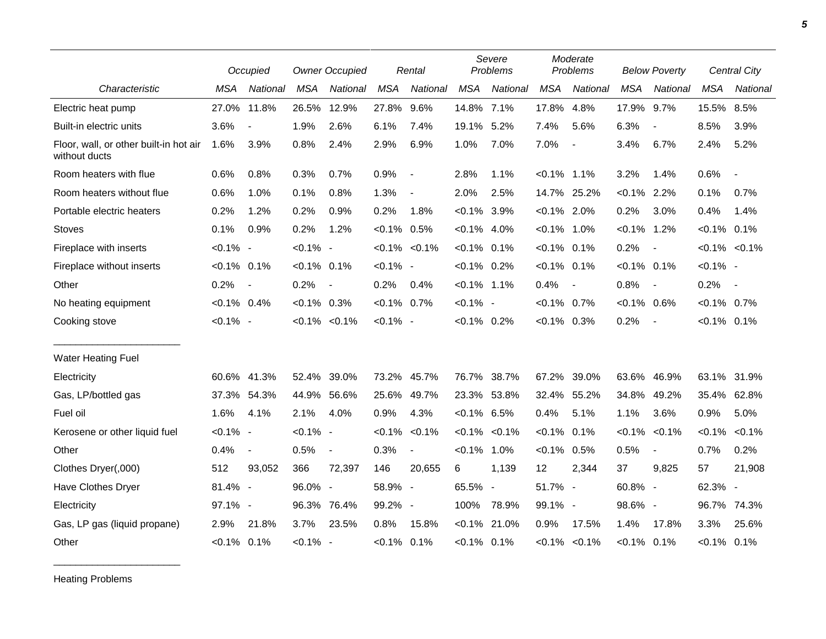|                                                         |                | Occupied                 |                | <b>Owner Occupied</b>    |                | Rental                   |                | Severe<br>Problems       |                | Moderate<br>Problems |                | <b>Below Poverty</b>     |                | Central City             |
|---------------------------------------------------------|----------------|--------------------------|----------------|--------------------------|----------------|--------------------------|----------------|--------------------------|----------------|----------------------|----------------|--------------------------|----------------|--------------------------|
| Characteristic                                          | <b>MSA</b>     | National                 | <b>MSA</b>     | National                 | <b>MSA</b>     | National                 | <b>MSA</b>     | National                 | <b>MSA</b>     | National             | <b>MSA</b>     | National                 | <b>MSA</b>     | <b>National</b>          |
| Electric heat pump                                      | 27.0% 11.8%    |                          | 26.5%          | 12.9%                    | 27.8%          | 9.6%                     | 14.8% 7.1%     |                          | 17.8%          | 4.8%                 | 17.9%          | 9.7%                     | 15.5%          | 8.5%                     |
| Built-in electric units                                 | 3.6%           | $\overline{\phantom{a}}$ | 1.9%           | 2.6%                     | 6.1%           | 7.4%                     | 19.1%          | 5.2%                     | 7.4%           | 5.6%                 | 6.3%           | $\blacksquare$           | 8.5%           | 3.9%                     |
| Floor, wall, or other built-in hot air<br>without ducts | 1.6%           | 3.9%                     | 0.8%           | 2.4%                     | 2.9%           | 6.9%                     | 1.0%           | 7.0%                     | 7.0%           | $\blacksquare$       | 3.4%           | 6.7%                     | 2.4%           | 5.2%                     |
| Room heaters with flue                                  | 0.6%           | 0.8%                     | 0.3%           | 0.7%                     | 0.9%           | $\overline{\phantom{a}}$ | 2.8%           | 1.1%                     | $< 0.1\%$ 1.1% |                      | 3.2%           | 1.4%                     | 0.6%           | $\overline{\phantom{a}}$ |
| Room heaters without flue                               | 0.6%           | 1.0%                     | 0.1%           | 0.8%                     | 1.3%           |                          | 2.0%           | 2.5%                     |                | 14.7% 25.2%          | $< 0.1\%$ 2.2% |                          | 0.1%           | 0.7%                     |
| Portable electric heaters                               | 0.2%           | 1.2%                     | 0.2%           | 0.9%                     | 0.2%           | 1.8%                     | $< 0.1\%$ 3.9% |                          | $< 0.1\%$ 2.0% |                      | 0.2%           | 3.0%                     | 0.4%           | 1.4%                     |
| <b>Stoves</b>                                           | 0.1%           | 0.9%                     | 0.2%           | 1.2%                     | $< 0.1\%$ 0.5% |                          | $< 0.1\%$ 4.0% |                          | $< 0.1\%$ 1.0% |                      | $< 0.1\%$ 1.2% |                          | $< 0.1\%$ 0.1% |                          |
| Fireplace with inserts                                  | $< 0.1\%$ -    |                          | $< 0.1\%$ -    |                          |                | $< 0.1\% < 0.1\%$        | $< 0.1\%$ 0.1% |                          | $< 0.1\%$      | 0.1%                 | 0.2%           | $\overline{\phantom{a}}$ |                | $< 0.1\%$ $< 0.1\%$      |
| Fireplace without inserts                               | $< 0.1\%$ 0.1% |                          | $< 0.1\%$ 0.1% |                          | $< 0.1\%$ -    |                          | $< 0.1\%$ 0.2% |                          | $< 0.1\%$ 0.1% |                      | $< 0.1\%$ 0.1% |                          | $< 0.1\%$ -    |                          |
| Other                                                   | 0.2%           | $\blacksquare$           | 0.2%           | $\overline{\phantom{a}}$ | 0.2%           | 0.4%                     | $< 0.1\%$ 1.1% |                          | 0.4%           | $\overline{a}$       | 0.8%           | $\overline{\phantom{a}}$ | 0.2%           | $\sim$                   |
| No heating equipment                                    | $< 0.1\%$ 0.4% |                          | $< 0.1\%$ 0.3% |                          | $< 0.1\%$ 0.7% |                          | $< 0.1\%$ -    |                          | $< 0.1\%$      | 0.7%                 | $< 0.1\%$ 0.6% |                          | $< 0.1\%$ 0.7% |                          |
| Cooking stove                                           | $< 0.1\%$ -    |                          |                | $< 0.1\% < 0.1\%$        | $< 0.1\%$ -    |                          | $< 0.1\%$ 0.2% |                          | $<0.1\%$ 0.3%  |                      | 0.2%           | $\blacksquare$           | $< 0.1\%$ 0.1% |                          |
| <b>Water Heating Fuel</b>                               |                |                          |                |                          |                |                          |                |                          |                |                      |                |                          |                |                          |
| Electricity                                             |                | 60.6% 41.3%              | 52.4%          | 39.0%                    |                | 73.2% 45.7%              | 76.7%          | 38.7%                    | 67.2%          | 39.0%                | 63.6%          | 46.9%                    | 63.1%          | 31.9%                    |
| Gas, LP/bottled gas                                     | 37.3%          | 54.3%                    | 44.9%          | 56.6%                    | 25.6%          | 49.7%                    | 23.3%          | 53.8%                    | 32.4%          | 55.2%                | 34.8%          | 49.2%                    | 35.4%          | 62.8%                    |
| Fuel oil                                                | 1.6%           | 4.1%                     | 2.1%           | 4.0%                     | 0.9%           | 4.3%                     | $< 0.1\%$ 6.5% |                          | 0.4%           | 5.1%                 | 1.1%           | 3.6%                     | 0.9%           | 5.0%                     |
| Kerosene or other liquid fuel                           | $< 0.1\%$ -    |                          | $< 0.1\%$ -    |                          |                | $< 0.1\% < 0.1\%$        |                | $< 0.1\%$ $< 0.1\%$      | $< 0.1\%$      | 0.1%                 | $< 0.1\%$      | < 0.1%                   | $< 0.1\%$      | $< 0.1\%$                |
| Other                                                   | 0.4%           | $\blacksquare$           | 0.5%           | $\blacksquare$           | 0.3%           | $\blacksquare$           | $< 0.1\%$      | 1.0%                     | $< 0.1\%$      | 0.5%                 | 0.5%           | $\blacksquare$           | 0.7%           | 0.2%                     |
| Clothes Dryer(,000)                                     | 512            | 93,052                   | 366            | 72,397                   | 146            | 20,655                   | 6              | 1,139                    | 12             | 2,344                | 37             | 9,825                    | 57             | 21,908                   |
| Have Clothes Dryer                                      | 81.4% -        |                          | 96.0% -        |                          | 58.9% -        |                          | 65.5%          | $\overline{\phantom{a}}$ | 51.7% -        |                      | 60.8% -        |                          | 62.3% -        |                          |
| Electricity                                             | 97.1% -        |                          | 96.3%          | 76.4%                    | 99.2% -        |                          | 100%           | 78.9%                    | 99.1% -        |                      | 98.6% -        |                          | 96.7%          | 74.3%                    |
| Gas, LP gas (liquid propane)                            | 2.9%           | 21.8%                    | 3.7%           | 23.5%                    | 0.8%           | 15.8%                    | $< 0.1\%$      | 21.0%                    | 0.9%           | 17.5%                | 1.4%           | 17.8%                    | 3.3%           | 25.6%                    |
| Other                                                   | $< 0.1\%$ 0.1% |                          | $< 0.1\%$ -    |                          | $< 0.1\%$ 0.1% |                          | $< 0.1\%$ 0.1% |                          |                | $< 0.1\%$ $< 0.1\%$  | $< 0.1\%$ 0.1% |                          | $< 0.1\%$ 0.1% |                          |

Heating Problems

\_\_\_\_\_\_\_\_\_\_\_\_\_\_\_\_\_\_\_\_\_\_\_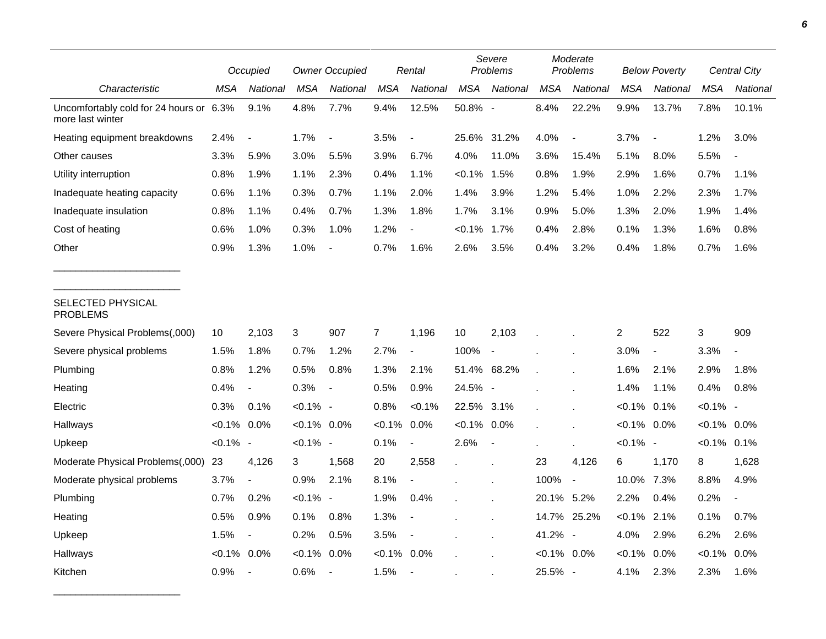|                                                             |                | Occupied                 |                | <b>Owner Occupied</b>    |                | Rental                   | Severe<br>Problems |                          | Moderate<br>Problems |                              | <b>Below Poverty</b> |                          | <b>Central City</b> |                |
|-------------------------------------------------------------|----------------|--------------------------|----------------|--------------------------|----------------|--------------------------|--------------------|--------------------------|----------------------|------------------------------|----------------------|--------------------------|---------------------|----------------|
| Characteristic                                              | MSA            | National                 | MSA            | National                 | <b>MSA</b>     | National                 | <b>MSA</b>         | National                 | <b>MSA</b>           | <b>National</b>              | MSA                  | <b>National</b>          | MSA                 | National       |
| Uncomfortably cold for 24 hours or 6.3%<br>more last winter |                | 9.1%                     | 4.8%           | 7.7%                     | 9.4%           | 12.5%                    | 50.8% -            |                          | 8.4%                 | 22.2%                        | 9.9%                 | 13.7%                    | 7.8%                | 10.1%          |
| Heating equipment breakdowns                                | 2.4%           |                          | 1.7%           | $\overline{\phantom{a}}$ | 3.5%           | $\overline{\phantom{a}}$ | 25.6% 31.2%        |                          | 4.0%                 | $\qquad \qquad \blacksquare$ | 3.7%                 | $\blacksquare$           | 1.2%                | 3.0%           |
| Other causes                                                | 3.3%           | 5.9%                     | 3.0%           | 5.5%                     | 3.9%           | 6.7%                     | 4.0%               | 11.0%                    | 3.6%                 | 15.4%                        | 5.1%                 | 8.0%                     | 5.5%                |                |
| Utility interruption                                        | 0.8%           | 1.9%                     | 1.1%           | 2.3%                     | 0.4%           | 1.1%                     | $< 0.1\%$          | 1.5%                     | 0.8%                 | 1.9%                         | 2.9%                 | 1.6%                     | 0.7%                | 1.1%           |
| Inadequate heating capacity                                 | 0.6%           | 1.1%                     | 0.3%           | 0.7%                     | 1.1%           | 2.0%                     | 1.4%               | 3.9%                     | 1.2%                 | 5.4%                         | 1.0%                 | 2.2%                     | 2.3%                | 1.7%           |
| Inadequate insulation                                       | 0.8%           | 1.1%                     | 0.4%           | 0.7%                     | 1.3%           | 1.8%                     | 1.7%               | 3.1%                     | 0.9%                 | 5.0%                         | 1.3%                 | 2.0%                     | 1.9%                | 1.4%           |
| Cost of heating                                             | 0.6%           | 1.0%                     | 0.3%           | 1.0%                     | 1.2%           |                          | $< 0.1\%$          | $1.7\%$                  | 0.4%                 | 2.8%                         | 0.1%                 | 1.3%                     | 1.6%                | 0.8%           |
| Other                                                       | 0.9%           | 1.3%                     | 1.0%           |                          | 0.7%           | 1.6%                     | 2.6%               | 3.5%                     | 0.4%                 | 3.2%                         | 0.4%                 | 1.8%                     | 0.7%                | 1.6%           |
| SELECTED PHYSICAL<br><b>PROBLEMS</b>                        |                |                          |                |                          |                |                          |                    |                          |                      |                              |                      |                          |                     |                |
| Severe Physical Problems(,000)                              | 10             | 2,103                    | 3              | 907                      | $\overline{7}$ | 1,196                    | 10                 | 2,103                    |                      |                              | 2                    | 522                      | 3                   | 909            |
| Severe physical problems                                    | 1.5%           | 1.8%                     | 0.7%           | 1.2%                     | 2.7%           | $\overline{\phantom{a}}$ | 100%               | $\overline{\phantom{a}}$ |                      |                              | 3.0%                 | $\overline{\phantom{a}}$ | 3.3%                | $\overline{a}$ |
| Plumbing                                                    | 0.8%           | 1.2%                     | 0.5%           | 0.8%                     | 1.3%           | 2.1%                     | 51.4% 68.2%        |                          |                      |                              | 1.6%                 | 2.1%                     | 2.9%                | 1.8%           |
| Heating                                                     | 0.4%           | $\overline{\phantom{a}}$ | 0.3%           | $\overline{\phantom{a}}$ | 0.5%           | 0.9%                     | 24.5% -            |                          |                      |                              | 1.4%                 | 1.1%                     | 0.4%                | 0.8%           |
| Electric                                                    | 0.3%           | 0.1%                     | $< 0.1\%$ -    |                          | 0.8%           | $< 0.1\%$                | 22.5% 3.1%         |                          |                      |                              | $< 0.1\%$ 0.1%       |                          | $< 0.1\%$ -         |                |
| Hallways                                                    | $< 0.1\%$      | $0.0\%$                  | $< 0.1\%$ 0.0% |                          | $< 0.1\%$      | 0.0%                     | $< 0.1\%$ 0.0%     |                          |                      |                              | $< 0.1\%$            | 0.0%                     | $< 0.1\%$ 0.0%      |                |
| Upkeep                                                      | $< 0.1\%$ -    |                          | $< 0.1\%$ -    |                          | 0.1%           | $\overline{\phantom{a}}$ | 2.6%               | $\blacksquare$           |                      |                              | $< 0.1\%$ -          |                          | $< 0.1\%$ 0.1%      |                |
| Moderate Physical Problems(,000)                            | 23             | 4,126                    | 3              | 1,568                    | 20             | 2,558                    |                    |                          | 23                   | 4,126                        | 6                    | 1,170                    | 8                   | 1,628          |
| Moderate physical problems                                  | 3.7%           | $\overline{a}$           | 0.9%           | 2.1%                     | 8.1%           | $\blacksquare$           |                    |                          | 100%                 | $\blacksquare$               | 10.0%                | 7.3%                     | 8.8%                | 4.9%           |
| Plumbing                                                    | 0.7%           | 0.2%                     | $< 0.1\%$ -    |                          | 1.9%           | 0.4%                     |                    |                          | 20.1% 5.2%           |                              | 2.2%                 | 0.4%                     | 0.2%                |                |
| Heating                                                     | 0.5%           | 0.9%                     | 0.1%           | 0.8%                     | 1.3%           | $\overline{\phantom{a}}$ |                    |                          |                      | 14.7% 25.2%                  | $< 0.1\%$            | 2.1%                     | 0.1%                | 0.7%           |
| Upkeep                                                      | 1.5%           | $\blacksquare$           | 0.2%           | 0.5%                     | 3.5%           | $\overline{\phantom{a}}$ |                    |                          | 41.2% -              |                              | 4.0%                 | 2.9%                     | 6.2%                | 2.6%           |
| Hallways                                                    | $< 0.1\%$ 0.0% |                          | $< 0.1\%$      | 0.0%                     | $< 0.1\%$      | 0.0%                     |                    |                          | $< 0.1\%$ 0.0%       |                              | $< 0.1\%$            | 0.0%                     | $< 0.1\%$           | 0.0%           |
| Kitchen                                                     | 0.9%           | $\overline{\phantom{a}}$ | 0.6%           | $\overline{\phantom{a}}$ | 1.5%           | $\overline{\phantom{a}}$ |                    |                          | 25.5% -              |                              | 4.1%                 | 2.3%                     | 2.3%                | 1.6%           |

\_\_\_\_\_\_\_\_\_\_\_\_\_\_\_\_\_\_\_\_\_\_\_